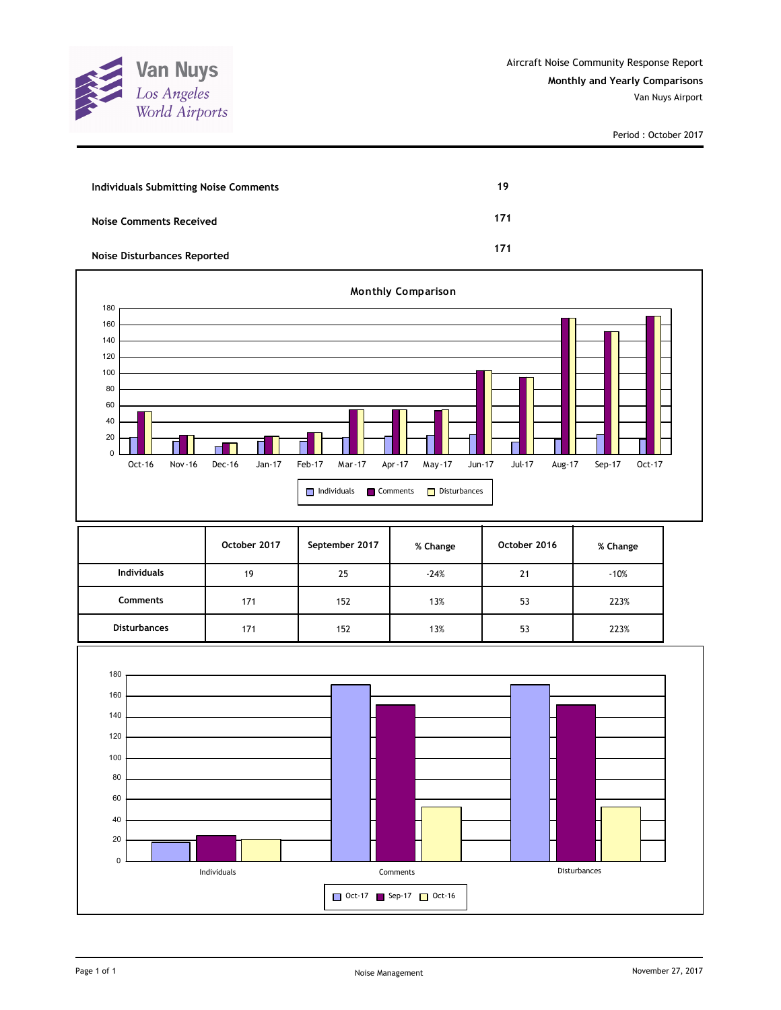

| <b>Individuals Submitting Noise Comments</b> | 19  |
|----------------------------------------------|-----|
| <b>Noise Comments Received</b>               | 171 |
| <b>Noise Disturbances Reported</b>           | 171 |



|                     | October 2017 | September 2017 | % Change | October 2016 | % Change |
|---------------------|--------------|----------------|----------|--------------|----------|
| <b>Individuals</b>  | 19           | 25             | $-24%$   | 21           | $-10%$   |
| <b>Comments</b>     | 171          | 152            | 13%      | 53           | 223%     |
| <b>Disturbances</b> | 171          | 152            | 13%      | 53           | 223%     |

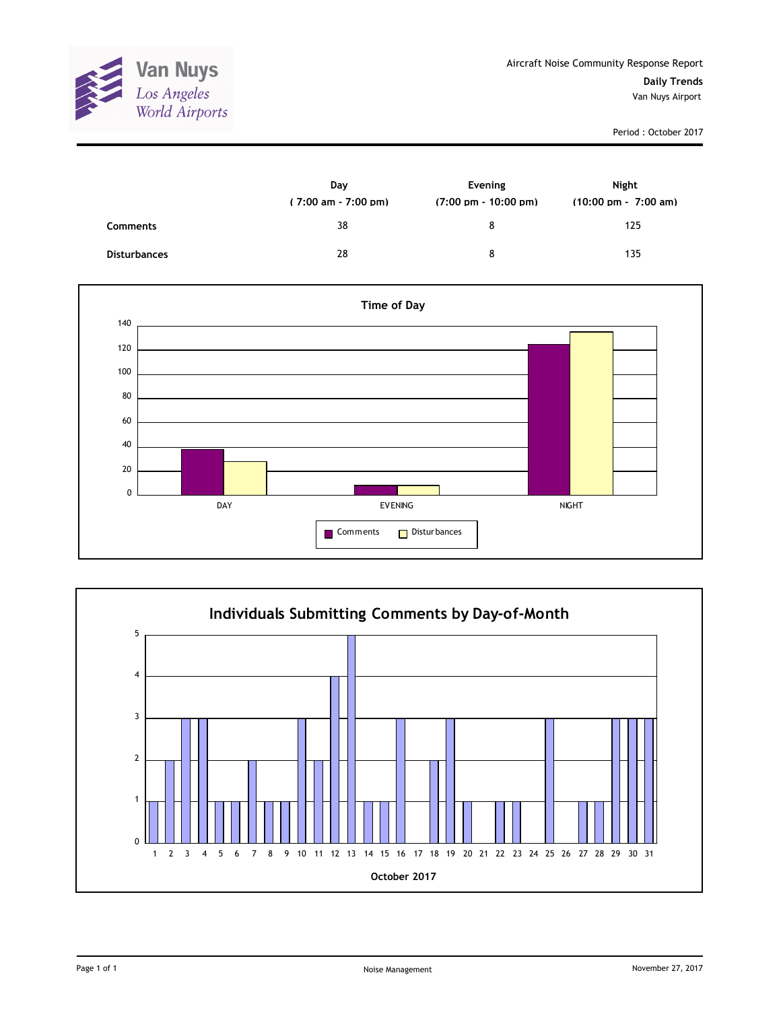

|                     | Day<br>$(7:00 \text{ am} - 7:00 \text{ pm})$ | Evening<br>$(7:00 \text{ pm} - 10:00 \text{ pm})$ | Night<br>$(10:00 \text{ pm} - 7:00 \text{ am})$ |
|---------------------|----------------------------------------------|---------------------------------------------------|-------------------------------------------------|
| <b>Comments</b>     | 38                                           | 8                                                 | 125                                             |
| <b>Disturbances</b> | 28                                           | 8                                                 | 135                                             |



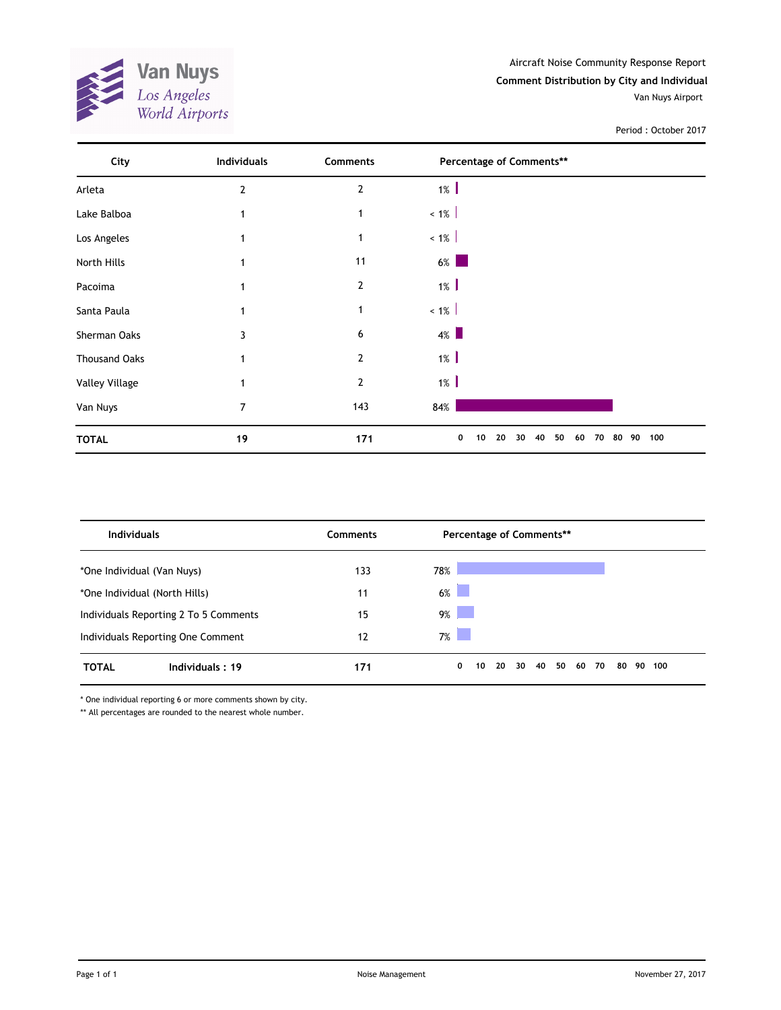

| City                  | <b>Individuals</b> | Comments       | Percentage of Comments**                    |           |
|-----------------------|--------------------|----------------|---------------------------------------------|-----------|
| Arleta                | $\overline{2}$     | 2              | $1\%$                                       |           |
| Lake Balboa           | 1                  | 1              | $~1\%$                                      |           |
| Los Angeles           |                    | 1              | $~1\%$                                      |           |
| North Hills           |                    | 11             | $6\%$                                       |           |
| Pacoima               |                    | $\overline{2}$ | $1\%$                                       |           |
| Santa Paula           |                    | 1              | $~1\%$                                      |           |
| Sherman Oaks          | 3                  | 6              | $4\%$                                       |           |
| <b>Thousand Oaks</b>  |                    | $\overline{2}$ | $1\%$                                       |           |
| <b>Valley Village</b> |                    | $\overline{2}$ | $1\%$                                       |           |
| Van Nuys              | 7                  | 143            | 84%                                         |           |
| <b>TOTAL</b>          | 19                 | 171            | 40<br>50<br>10<br>20<br>30<br>60<br>70<br>0 | 80 90 100 |

| <b>Individuals</b>                    | Comments | Percentage of Comments**                          |        |
|---------------------------------------|----------|---------------------------------------------------|--------|
| *One Individual (Van Nuys)            | 133      | 78%                                               |        |
| *One Individual (North Hills)         | 11       | 6%                                                |        |
| Individuals Reporting 2 To 5 Comments | 15       | 9%                                                |        |
| Individuals Reporting One Comment     | 12       | 7%                                                |        |
| <b>TOTAL</b><br>Individuals: 19       | 171      | 50<br>20<br>30<br>40<br>60<br>0<br>10<br>70<br>80 | 90 100 |

\* One individual reporting 6 or more comments shown by city.

\*\* All percentages are rounded to the nearest whole number.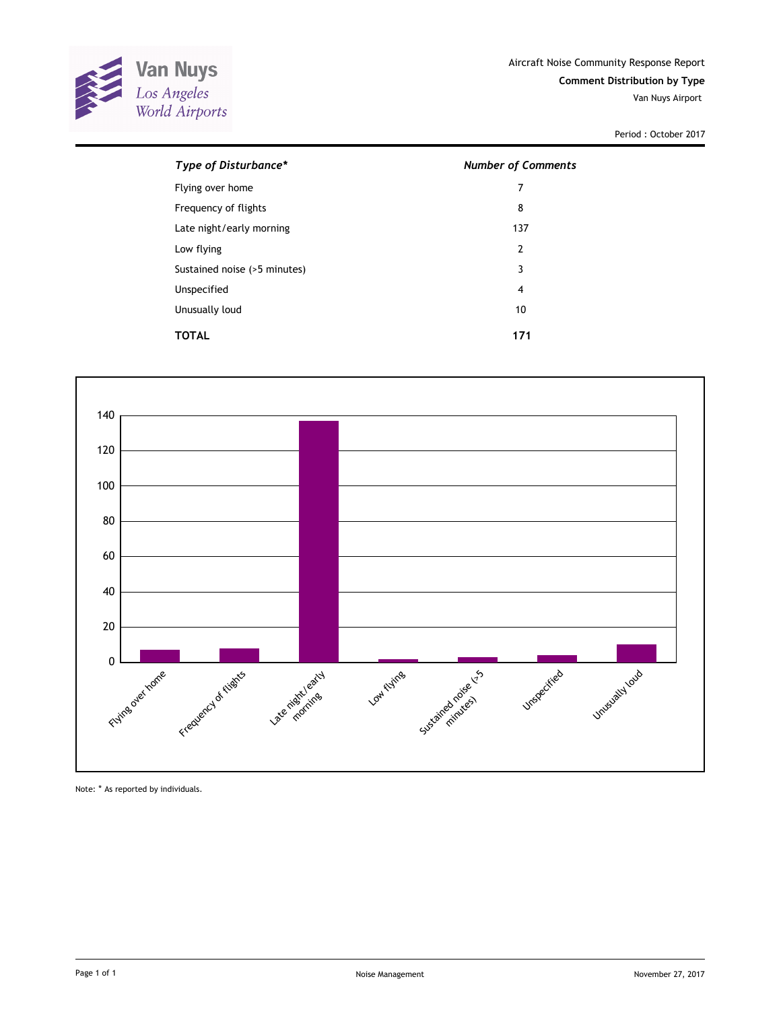

| Type of Disturbance*         | <b>Number of Comments</b> |
|------------------------------|---------------------------|
| Flying over home             | 7                         |
| Frequency of flights         | 8                         |
| Late night/early morning     | 137                       |
| Low flying                   | $\overline{2}$            |
| Sustained noise (>5 minutes) | 3                         |
| Unspecified                  | 4                         |
| Unusually loud               | 10                        |
| TOTAL                        | 171                       |



Note: \* As reported by individuals.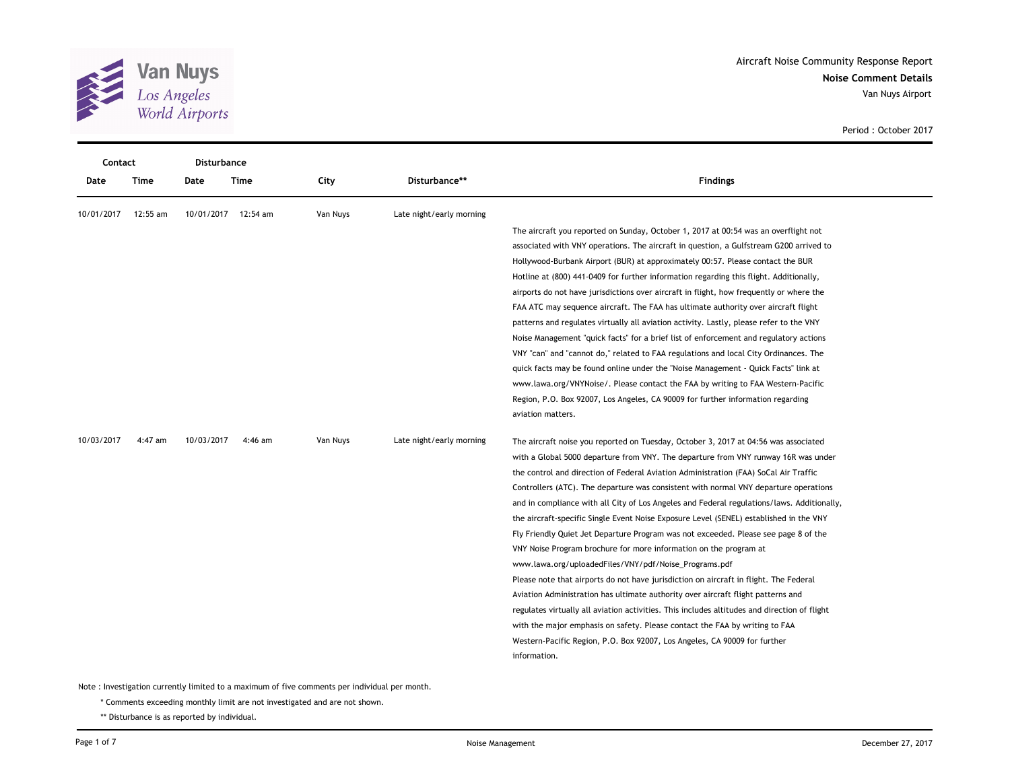

| Contact    |          | <b>Disturbance</b> |                     |          |                          |                                                                                              |  |
|------------|----------|--------------------|---------------------|----------|--------------------------|----------------------------------------------------------------------------------------------|--|
| Date       | Time     | Date               | Time                | City     | Disturbance**            | <b>Findings</b>                                                                              |  |
| 10/01/2017 | 12:55 am |                    | 10/01/2017 12:54 am | Van Nuys | Late night/early morning |                                                                                              |  |
|            |          |                    |                     |          |                          | The aircraft you reported on Sunday, October 1, 2017 at 00:54 was an overflight not          |  |
|            |          |                    |                     |          |                          | associated with VNY operations. The aircraft in question, a Gulfstream G200 arrived to       |  |
|            |          |                    |                     |          |                          | Hollywood-Burbank Airport (BUR) at approximately 00:57. Please contact the BUR               |  |
|            |          |                    |                     |          |                          | Hotline at (800) 441-0409 for further information regarding this flight. Additionally,       |  |
|            |          |                    |                     |          |                          | airports do not have jurisdictions over aircraft in flight, how frequently or where the      |  |
|            |          |                    |                     |          |                          | FAA ATC may sequence aircraft. The FAA has ultimate authority over aircraft flight           |  |
|            |          |                    |                     |          |                          | patterns and regulates virtually all aviation activity. Lastly, please refer to the VNY      |  |
|            |          |                    |                     |          |                          | Noise Management "quick facts" for a brief list of enforcement and regulatory actions        |  |
|            |          |                    |                     |          |                          | VNY "can" and "cannot do," related to FAA regulations and local City Ordinances. The         |  |
|            |          |                    |                     |          |                          | quick facts may be found online under the "Noise Management - Quick Facts" link at           |  |
|            |          |                    |                     |          |                          | www.lawa.org/VNYNoise/. Please contact the FAA by writing to FAA Western-Pacific             |  |
|            |          |                    |                     |          |                          | Region, P.O. Box 92007, Los Angeles, CA 90009 for further information regarding              |  |
|            |          |                    |                     |          |                          | aviation matters.                                                                            |  |
| 10/03/2017 | 4:47 am  | 10/03/2017         | 4:46 am             | Van Nuys | Late night/early morning | The aircraft noise you reported on Tuesday, October 3, 2017 at 04:56 was associated          |  |
|            |          |                    |                     |          |                          | with a Global 5000 departure from VNY. The departure from VNY runway 16R was under           |  |
|            |          |                    |                     |          |                          | the control and direction of Federal Aviation Administration (FAA) SoCal Air Traffic         |  |
|            |          |                    |                     |          |                          | Controllers (ATC). The departure was consistent with normal VNY departure operations         |  |
|            |          |                    |                     |          |                          | and in compliance with all City of Los Angeles and Federal regulations/laws. Additionally,   |  |
|            |          |                    |                     |          |                          | the aircraft-specific Single Event Noise Exposure Level (SENEL) established in the VNY       |  |
|            |          |                    |                     |          |                          | Fly Friendly Quiet Jet Departure Program was not exceeded. Please see page 8 of the          |  |
|            |          |                    |                     |          |                          | VNY Noise Program brochure for more information on the program at                            |  |
|            |          |                    |                     |          |                          | www.lawa.org/uploadedFiles/VNY/pdf/Noise_Programs.pdf                                        |  |
|            |          |                    |                     |          |                          | Please note that airports do not have jurisdiction on aircraft in flight. The Federal        |  |
|            |          |                    |                     |          |                          | Aviation Administration has ultimate authority over aircraft flight patterns and             |  |
|            |          |                    |                     |          |                          | regulates virtually all aviation activities. This includes altitudes and direction of flight |  |
|            |          |                    |                     |          |                          | with the major emphasis on safety. Please contact the FAA by writing to FAA                  |  |
|            |          |                    |                     |          |                          | Western-Pacific Region, P.O. Box 92007, Los Angeles, CA 90009 for further                    |  |
|            |          |                    |                     |          |                          | information.                                                                                 |  |

\* Comments exceeding monthly limit are not investigated and are not shown.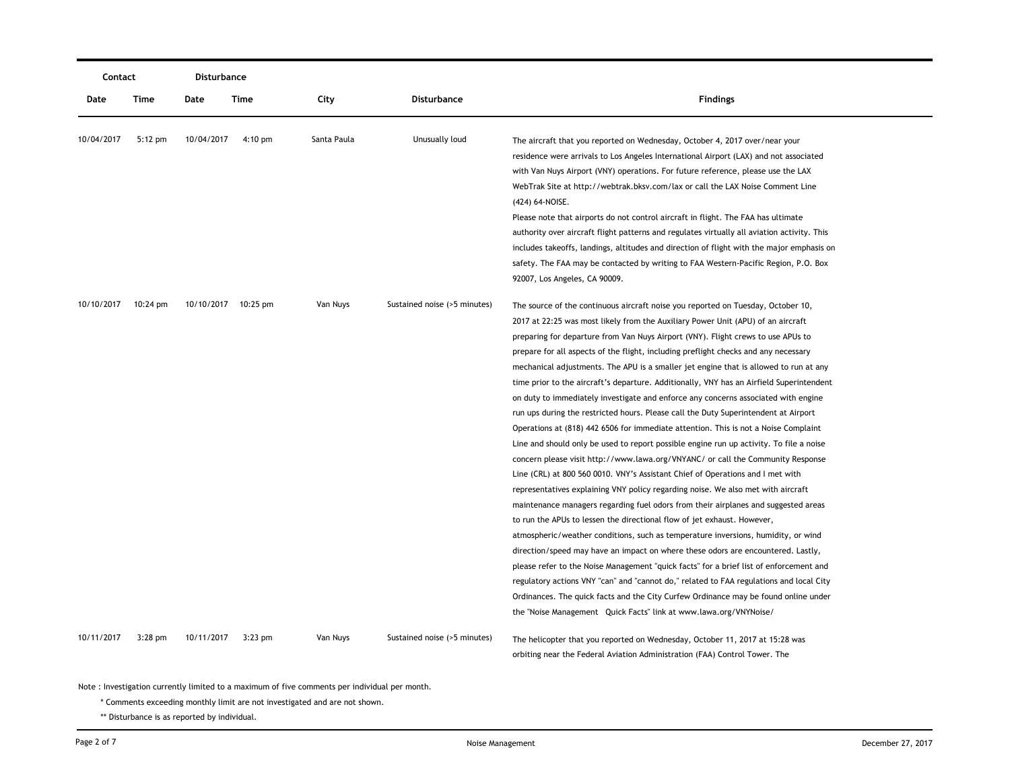| Contact    |                    | Disturbance |                     |             |                              |                                                                                                                                                                                                                                                                                                                                                                                                                                                                                                                                                                                                                                                                                                                                                                                                                                                                                                                                                                                                                                                                                                                                                                                                                                                                                                                                                                                                                                                                                                                                                                                                                                                                                                                                                                                                                                                         |
|------------|--------------------|-------------|---------------------|-------------|------------------------------|---------------------------------------------------------------------------------------------------------------------------------------------------------------------------------------------------------------------------------------------------------------------------------------------------------------------------------------------------------------------------------------------------------------------------------------------------------------------------------------------------------------------------------------------------------------------------------------------------------------------------------------------------------------------------------------------------------------------------------------------------------------------------------------------------------------------------------------------------------------------------------------------------------------------------------------------------------------------------------------------------------------------------------------------------------------------------------------------------------------------------------------------------------------------------------------------------------------------------------------------------------------------------------------------------------------------------------------------------------------------------------------------------------------------------------------------------------------------------------------------------------------------------------------------------------------------------------------------------------------------------------------------------------------------------------------------------------------------------------------------------------------------------------------------------------------------------------------------------------|
| Date       | Time               | Date        | Time                | City        | Disturbance                  | <b>Findings</b>                                                                                                                                                                                                                                                                                                                                                                                                                                                                                                                                                                                                                                                                                                                                                                                                                                                                                                                                                                                                                                                                                                                                                                                                                                                                                                                                                                                                                                                                                                                                                                                                                                                                                                                                                                                                                                         |
| 10/04/2017 | $5:12$ pm          | 10/04/2017  | $4:10 \text{ pm}$   | Santa Paula | Unusually loud               | The aircraft that you reported on Wednesday, October 4, 2017 over/near your<br>residence were arrivals to Los Angeles International Airport (LAX) and not associated<br>with Van Nuys Airport (VNY) operations. For future reference, please use the LAX<br>WebTrak Site at http://webtrak.bksv.com/lax or call the LAX Noise Comment Line<br>(424) 64-NOISE.<br>Please note that airports do not control aircraft in flight. The FAA has ultimate<br>authority over aircraft flight patterns and regulates virtually all aviation activity. This<br>includes takeoffs, landings, altitudes and direction of flight with the major emphasis on<br>safety. The FAA may be contacted by writing to FAA Western-Pacific Region, P.O. Box<br>92007, Los Angeles, CA 90009.                                                                                                                                                                                                                                                                                                                                                                                                                                                                                                                                                                                                                                                                                                                                                                                                                                                                                                                                                                                                                                                                                  |
| 10/10/2017 | $10:24 \text{ pm}$ |             | 10/10/2017 10:25 pm | Van Nuys    | Sustained noise (>5 minutes) | The source of the continuous aircraft noise you reported on Tuesday, October 10,<br>2017 at 22:25 was most likely from the Auxiliary Power Unit (APU) of an aircraft<br>preparing for departure from Van Nuys Airport (VNY). Flight crews to use APUs to<br>prepare for all aspects of the flight, including preflight checks and any necessary<br>mechanical adjustments. The APU is a smaller jet engine that is allowed to run at any<br>time prior to the aircraft's departure. Additionally, VNY has an Airfield Superintendent<br>on duty to immediately investigate and enforce any concerns associated with engine<br>run ups during the restricted hours. Please call the Duty Superintendent at Airport<br>Operations at (818) 442 6506 for immediate attention. This is not a Noise Complaint<br>Line and should only be used to report possible engine run up activity. To file a noise<br>concern please visit http://www.lawa.org/VNYANC/ or call the Community Response<br>Line (CRL) at 800 560 0010. VNY's Assistant Chief of Operations and I met with<br>representatives explaining VNY policy regarding noise. We also met with aircraft<br>maintenance managers regarding fuel odors from their airplanes and suggested areas<br>to run the APUs to lessen the directional flow of jet exhaust. However,<br>atmospheric/weather conditions, such as temperature inversions, humidity, or wind<br>direction/speed may have an impact on where these odors are encountered. Lastly,<br>please refer to the Noise Management "quick facts" for a brief list of enforcement and<br>regulatory actions VNY "can" and "cannot do," related to FAA regulations and local City<br>Ordinances. The quick facts and the City Curfew Ordinance may be found online under<br>the "Noise Management Quick Facts" link at www.lawa.org/VNYNoise/ |
| 10/11/2017 | $3:28$ pm          | 10/11/2017  | $3:23$ pm           | Van Nuys    | Sustained noise (>5 minutes) | The helicopter that you reported on Wednesday, October 11, 2017 at 15:28 was<br>orbiting near the Federal Aviation Administration (FAA) Control Tower. The                                                                                                                                                                                                                                                                                                                                                                                                                                                                                                                                                                                                                                                                                                                                                                                                                                                                                                                                                                                                                                                                                                                                                                                                                                                                                                                                                                                                                                                                                                                                                                                                                                                                                              |

\* Comments exceeding monthly limit are not investigated and are not shown.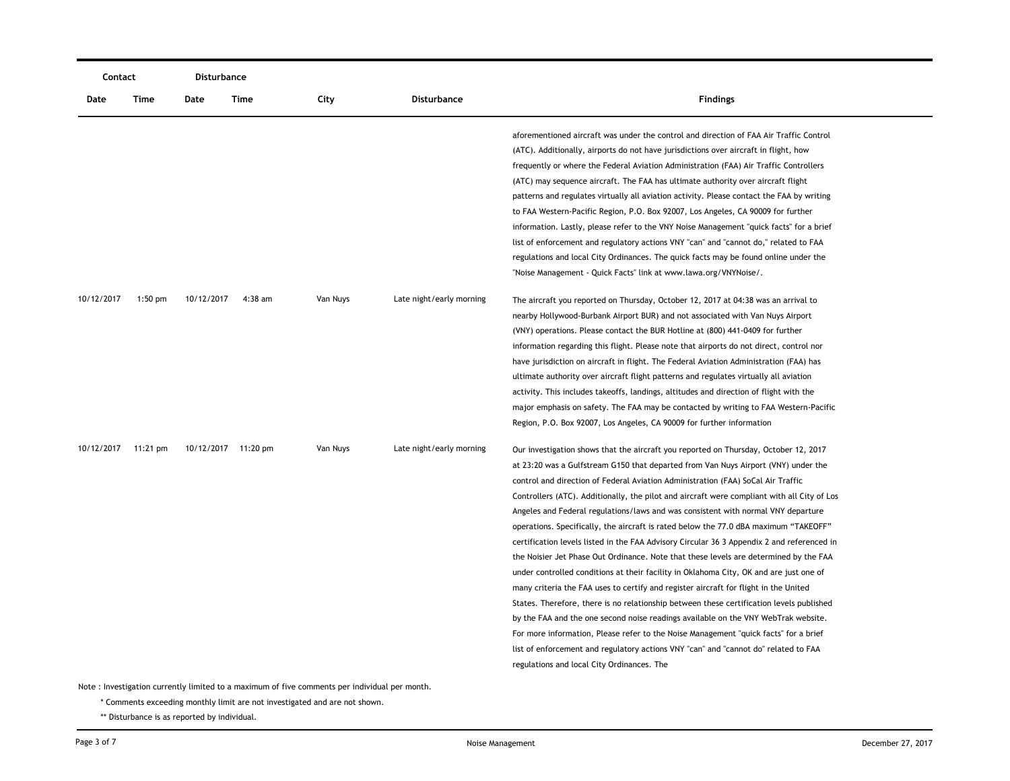|            | Contact   |            | Disturbance         |          |                          |                                                                                                                                                                                                                                                                                                                                                                                                                                                                                                                                                                                                                                                                                                                                                                                                                                                                                                                                                                                                                                                                                                                                                                                                                                                                                                                                    |
|------------|-----------|------------|---------------------|----------|--------------------------|------------------------------------------------------------------------------------------------------------------------------------------------------------------------------------------------------------------------------------------------------------------------------------------------------------------------------------------------------------------------------------------------------------------------------------------------------------------------------------------------------------------------------------------------------------------------------------------------------------------------------------------------------------------------------------------------------------------------------------------------------------------------------------------------------------------------------------------------------------------------------------------------------------------------------------------------------------------------------------------------------------------------------------------------------------------------------------------------------------------------------------------------------------------------------------------------------------------------------------------------------------------------------------------------------------------------------------|
| Date       | Time      | Date       | Time                | City     | Disturbance              | <b>Findings</b>                                                                                                                                                                                                                                                                                                                                                                                                                                                                                                                                                                                                                                                                                                                                                                                                                                                                                                                                                                                                                                                                                                                                                                                                                                                                                                                    |
|            |           |            |                     |          |                          | aforementioned aircraft was under the control and direction of FAA Air Traffic Control<br>(ATC). Additionally, airports do not have jurisdictions over aircraft in flight, how<br>frequently or where the Federal Aviation Administration (FAA) Air Traffic Controllers<br>(ATC) may sequence aircraft. The FAA has ultimate authority over aircraft flight<br>patterns and regulates virtually all aviation activity. Please contact the FAA by writing<br>to FAA Western-Pacific Region, P.O. Box 92007, Los Angeles, CA 90009 for further<br>information. Lastly, please refer to the VNY Noise Management "quick facts" for a brief<br>list of enforcement and regulatory actions VNY "can" and "cannot do," related to FAA<br>regulations and local City Ordinances. The quick facts may be found online under the<br>"Noise Management - Quick Facts" link at www.lawa.org/VNYNoise/.                                                                                                                                                                                                                                                                                                                                                                                                                                        |
| 10/12/2017 | $1:50$ pm | 10/12/2017 | 4:38 am             | Van Nuys | Late night/early morning | The aircraft you reported on Thursday, October 12, 2017 at 04:38 was an arrival to<br>nearby Hollywood-Burbank Airport BUR) and not associated with Van Nuys Airport<br>(VNY) operations. Please contact the BUR Hotline at (800) 441-0409 for further<br>information regarding this flight. Please note that airports do not direct, control nor<br>have jurisdiction on aircraft in flight. The Federal Aviation Administration (FAA) has<br>ultimate authority over aircraft flight patterns and regulates virtually all aviation<br>activity. This includes takeoffs, landings, altitudes and direction of flight with the<br>major emphasis on safety. The FAA may be contacted by writing to FAA Western-Pacific<br>Region, P.O. Box 92007, Los Angeles, CA 90009 for further information                                                                                                                                                                                                                                                                                                                                                                                                                                                                                                                                    |
| 10/12/2017 | 11:21 pm  |            | 10/12/2017 11:20 pm | Van Nuys | Late night/early morning | Our investigation shows that the aircraft you reported on Thursday, October 12, 2017<br>at 23:20 was a Gulfstream G150 that departed from Van Nuys Airport (VNY) under the<br>control and direction of Federal Aviation Administration (FAA) SoCal Air Traffic<br>Controllers (ATC). Additionally, the pilot and aircraft were compliant with all City of Los<br>Angeles and Federal regulations/laws and was consistent with normal VNY departure<br>operations. Specifically, the aircraft is rated below the 77.0 dBA maximum "TAKEOFF"<br>certification levels listed in the FAA Advisory Circular 36 3 Appendix 2 and referenced in<br>the Noisier Jet Phase Out Ordinance. Note that these levels are determined by the FAA<br>under controlled conditions at their facility in Oklahoma City, OK and are just one of<br>many criteria the FAA uses to certify and register aircraft for flight in the United<br>States. Therefore, there is no relationship between these certification levels published<br>by the FAA and the one second noise readings available on the VNY WebTrak website.<br>For more information, Please refer to the Noise Management "quick facts" for a brief<br>list of enforcement and regulatory actions VNY "can" and "cannot do" related to FAA<br>regulations and local City Ordinances. The |

\* Comments exceeding monthly limit are not investigated and are not shown.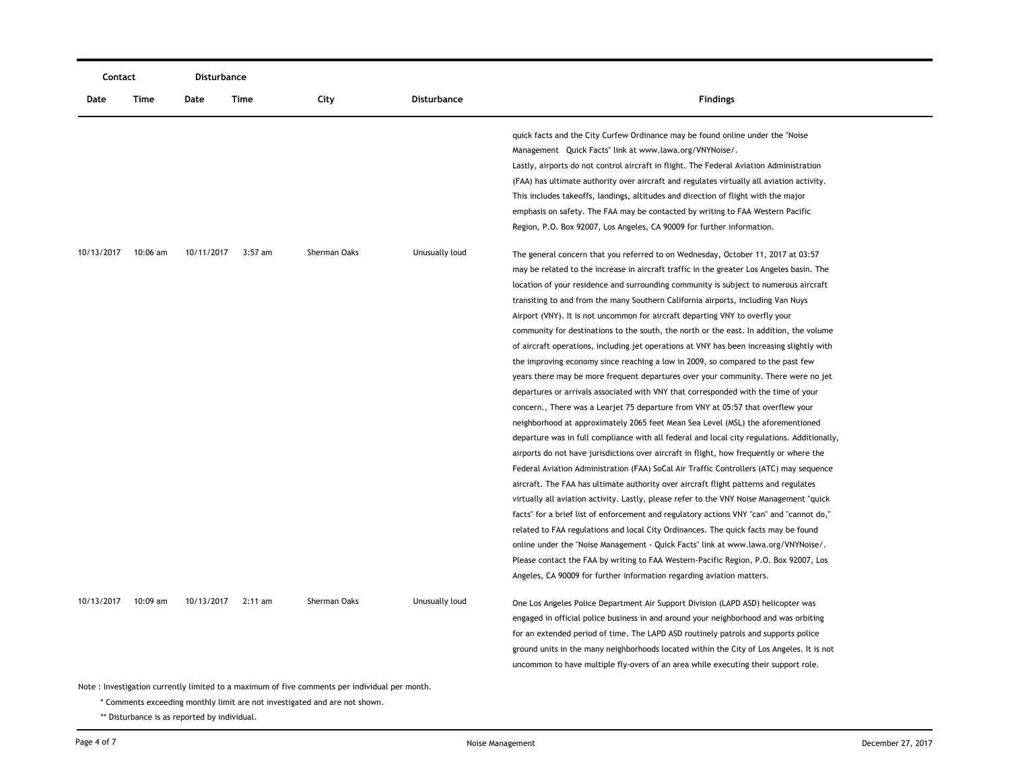| Contact    |                                                                            | Disturbance |           |                                                                                               |                    |                                                                                             |  |  |  |
|------------|----------------------------------------------------------------------------|-------------|-----------|-----------------------------------------------------------------------------------------------|--------------------|---------------------------------------------------------------------------------------------|--|--|--|
| Date       | Time                                                                       | Date        | Time      | City                                                                                          | <b>Disturbance</b> | <b>Findings</b>                                                                             |  |  |  |
|            |                                                                            |             |           |                                                                                               |                    | quick facts and the City Curfew Ordinance may be found online under the "Noise"             |  |  |  |
|            |                                                                            |             |           |                                                                                               |                    | Management Quick Facts" link at www.lawa.org/VNYNoise/.                                     |  |  |  |
|            |                                                                            |             |           |                                                                                               |                    | Lastly, airports do not control aircraft in flight. The Federal Aviation Administration     |  |  |  |
|            |                                                                            |             |           |                                                                                               |                    | (FAA) has ultimate authority over aircraft and regulates virtually all aviation activity.   |  |  |  |
|            |                                                                            |             |           |                                                                                               |                    | This includes takeoffs, landings, altitudes and direction of flight with the major          |  |  |  |
|            |                                                                            |             |           |                                                                                               |                    | emphasis on safety. The FAA may be contacted by writing to FAA Western Pacific              |  |  |  |
|            |                                                                            |             |           |                                                                                               |                    | Region, P.O. Box 92007, Los Angeles, CA 90009 for further information.                      |  |  |  |
| 10/13/2017 | $10:06$ am                                                                 | 10/11/2017  | $3:57$ am | Sherman Oaks                                                                                  | Unusually loud     | The general concern that you referred to on Wednesday, October 11, 2017 at 03:57            |  |  |  |
|            |                                                                            |             |           |                                                                                               |                    | may be related to the increase in aircraft traffic in the greater Los Angeles basin. The    |  |  |  |
|            |                                                                            |             |           |                                                                                               |                    | location of your residence and surrounding community is subject to numerous aircraft        |  |  |  |
|            |                                                                            |             |           |                                                                                               |                    | transiting to and from the many Southern California airports, including Van Nuys            |  |  |  |
|            |                                                                            |             |           |                                                                                               |                    | Airport (VNY). It is not uncommon for aircraft departing VNY to overfly your                |  |  |  |
|            |                                                                            |             |           |                                                                                               |                    | community for destinations to the south, the north or the east. In addition, the volume     |  |  |  |
|            |                                                                            |             |           |                                                                                               |                    | of aircraft operations, including jet operations at VNY has been increasing slightly with   |  |  |  |
|            |                                                                            |             |           |                                                                                               |                    | the improving economy since reaching a low in 2009, so compared to the past few             |  |  |  |
|            |                                                                            |             |           |                                                                                               |                    | years there may be more frequent departures over your community. There were no jet          |  |  |  |
|            |                                                                            |             |           |                                                                                               |                    | departures or arrivals associated with VNY that corresponded with the time of your          |  |  |  |
|            |                                                                            |             |           |                                                                                               |                    | concern., There was a Learjet 75 departure from VNY at 05:57 that overflew your             |  |  |  |
|            |                                                                            |             |           |                                                                                               |                    | neighborhood at approximately 2065 feet Mean Sea Level (MSL) the aforementioned             |  |  |  |
|            |                                                                            |             |           |                                                                                               |                    | departure was in full compliance with all federal and local city regulations. Additionally, |  |  |  |
|            |                                                                            |             |           |                                                                                               |                    | airports do not have jurisdictions over aircraft in flight, how frequently or where the     |  |  |  |
|            |                                                                            |             |           |                                                                                               |                    | Federal Aviation Administration (FAA) SoCal Air Traffic Controllers (ATC) may sequence      |  |  |  |
|            |                                                                            |             |           |                                                                                               |                    | aircraft. The FAA has ultimate authority over aircraft flight patterns and regulates        |  |  |  |
|            |                                                                            |             |           |                                                                                               |                    | virtually all aviation activity. Lastly, please refer to the VNY Noise Management "quick    |  |  |  |
|            |                                                                            |             |           |                                                                                               |                    | facts" for a brief list of enforcement and regulatory actions VNY "can" and "cannot do,"    |  |  |  |
|            |                                                                            |             |           |                                                                                               |                    | related to FAA regulations and local City Ordinances. The quick facts may be found          |  |  |  |
|            |                                                                            |             |           |                                                                                               |                    | online under the "Noise Management - Quick Facts" link at www.lawa.org/VNYNoise/.           |  |  |  |
|            |                                                                            |             |           |                                                                                               |                    | Please contact the FAA by writing to FAA Western-Pacific Region, P.O. Box 92007, Los        |  |  |  |
|            |                                                                            |             |           |                                                                                               |                    | Angeles, CA 90009 for further information regarding aviation matters.                       |  |  |  |
| 10/13/2017 | 10:09 am                                                                   | 10/13/2017  | $2:11$ am | Sherman Oaks                                                                                  | Unusually loud     | One Los Angeles Police Department Air Support Division (LAPD ASD) helicopter was            |  |  |  |
|            |                                                                            |             |           |                                                                                               |                    | engaged in official police business in and around your neighborhood and was orbiting        |  |  |  |
|            |                                                                            |             |           |                                                                                               |                    | for an extended period of time. The LAPD ASD routinely patrols and supports police          |  |  |  |
|            |                                                                            |             |           |                                                                                               |                    | ground units in the many neighborhoods located within the City of Los Angeles. It is not    |  |  |  |
|            |                                                                            |             |           |                                                                                               |                    | uncommon to have multiple fly-overs of an area while executing their support role.          |  |  |  |
|            |                                                                            |             |           | Note: Investigation currently limited to a maximum of five comments per individual per month. |                    |                                                                                             |  |  |  |
|            | * Comments exceeding monthly limit are not investigated and are not shown. |             |           |                                                                                               |                    |                                                                                             |  |  |  |

\*\* Disturbance is as reported by individual.

-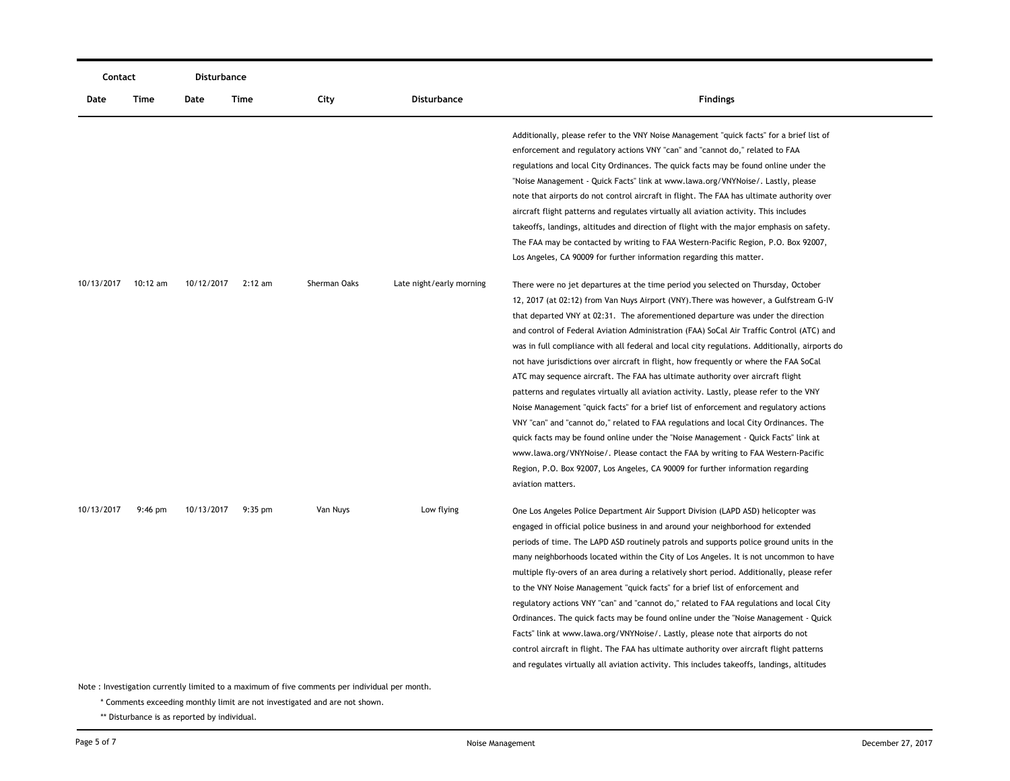| Contact    |          | Disturbance |           |                                                                                                           |                          |                                                                                                                                                                                                                                                                                                                                                                                                                                                                                                                                                                                                                                                                                                                                                                                                                                                                                                                                                                                                                                                                                                                                                                                                      |
|------------|----------|-------------|-----------|-----------------------------------------------------------------------------------------------------------|--------------------------|------------------------------------------------------------------------------------------------------------------------------------------------------------------------------------------------------------------------------------------------------------------------------------------------------------------------------------------------------------------------------------------------------------------------------------------------------------------------------------------------------------------------------------------------------------------------------------------------------------------------------------------------------------------------------------------------------------------------------------------------------------------------------------------------------------------------------------------------------------------------------------------------------------------------------------------------------------------------------------------------------------------------------------------------------------------------------------------------------------------------------------------------------------------------------------------------------|
| Date       | Time     | Date        | Time      | City                                                                                                      | <b>Disturbance</b>       | <b>Findings</b>                                                                                                                                                                                                                                                                                                                                                                                                                                                                                                                                                                                                                                                                                                                                                                                                                                                                                                                                                                                                                                                                                                                                                                                      |
|            |          |             |           |                                                                                                           |                          | Additionally, please refer to the VNY Noise Management "quick facts" for a brief list of<br>enforcement and regulatory actions VNY "can" and "cannot do," related to FAA<br>regulations and local City Ordinances. The quick facts may be found online under the<br>"Noise Management - Quick Facts" link at www.lawa.org/VNYNoise/. Lastly, please<br>note that airports do not control aircraft in flight. The FAA has ultimate authority over<br>aircraft flight patterns and regulates virtually all aviation activity. This includes<br>takeoffs, landings, altitudes and direction of flight with the major emphasis on safety.<br>The FAA may be contacted by writing to FAA Western-Pacific Region, P.O. Box 92007,<br>Los Angeles, CA 90009 for further information regarding this matter.                                                                                                                                                                                                                                                                                                                                                                                                  |
| 10/13/2017 | 10:12 am | 10/12/2017  | $2:12$ am | Sherman Oaks                                                                                              | Late night/early morning | There were no jet departures at the time period you selected on Thursday, October<br>12, 2017 (at 02:12) from Van Nuys Airport (VNY). There was however, a Gulfstream G-IV<br>that departed VNY at 02:31. The aforementioned departure was under the direction<br>and control of Federal Aviation Administration (FAA) SoCal Air Traffic Control (ATC) and<br>was in full compliance with all federal and local city regulations. Additionally, airports do<br>not have jurisdictions over aircraft in flight, how frequently or where the FAA SoCal<br>ATC may sequence aircraft. The FAA has ultimate authority over aircraft flight<br>patterns and regulates virtually all aviation activity. Lastly, please refer to the VNY<br>Noise Management "quick facts" for a brief list of enforcement and regulatory actions<br>VNY "can" and "cannot do," related to FAA regulations and local City Ordinances. The<br>quick facts may be found online under the "Noise Management - Quick Facts" link at<br>www.lawa.org/VNYNoise/. Please contact the FAA by writing to FAA Western-Pacific<br>Region, P.O. Box 92007, Los Angeles, CA 90009 for further information regarding<br>aviation matters. |
| 10/13/2017 | 9:46 pm  | 10/13/2017  | $9:35$ pm | Van Nuys<br>Note: Investigation currently limited to a maximum of five comments per individual per month. | Low flying               | One Los Angeles Police Department Air Support Division (LAPD ASD) helicopter was<br>engaged in official police business in and around your neighborhood for extended<br>periods of time. The LAPD ASD routinely patrols and supports police ground units in the<br>many neighborhoods located within the City of Los Angeles. It is not uncommon to have<br>multiple fly-overs of an area during a relatively short period. Additionally, please refer<br>to the VNY Noise Management "quick facts" for a brief list of enforcement and<br>regulatory actions VNY "can" and "cannot do," related to FAA regulations and local City<br>Ordinances. The quick facts may be found online under the "Noise Management - Quick<br>Facts" link at www.lawa.org/VNYNoise/. Lastly, please note that airports do not<br>control aircraft in flight. The FAA has ultimate authority over aircraft flight patterns<br>and regulates virtually all aviation activity. This includes takeoffs, landings, altitudes                                                                                                                                                                                               |

\* Comments exceeding monthly limit are not investigated and are not shown.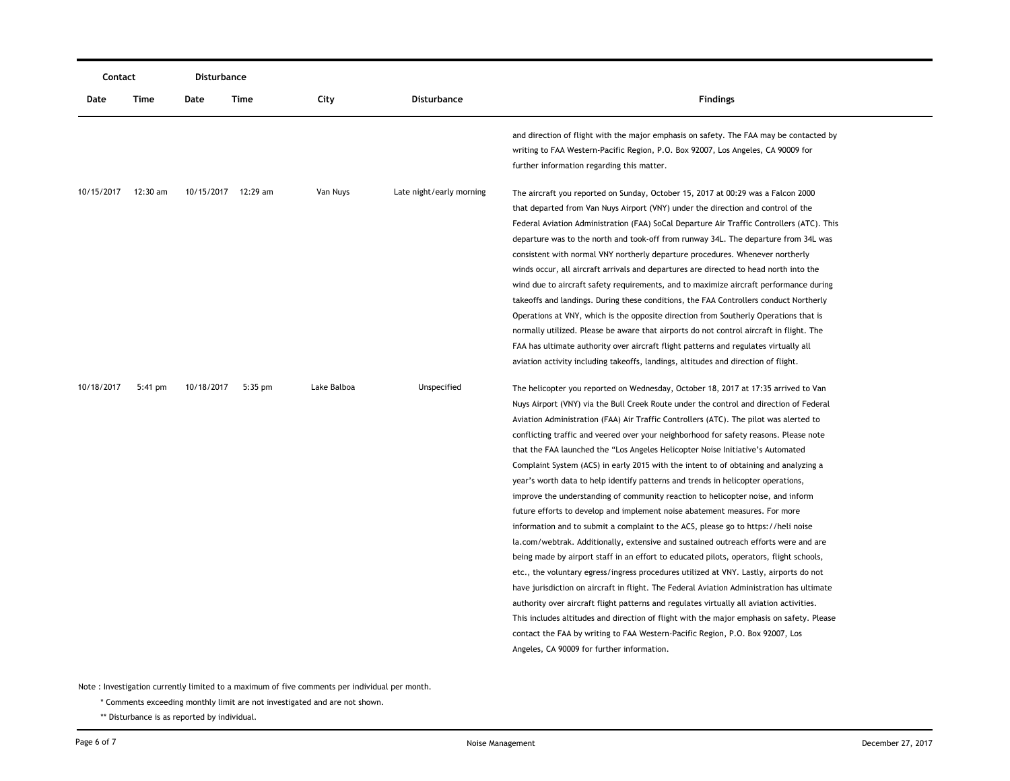| Contact    |                   | Disturbance |                     |             |                          |                                                                                                                                                                                                                                                                                                                                                                                                                                                                                                                                                                                                                                                                                                                                                                                                                                                                                                                                                                                                                                                                                                                                                                                                                                                                                                                                                                                                                                                                                                                                                                                     |
|------------|-------------------|-------------|---------------------|-------------|--------------------------|-------------------------------------------------------------------------------------------------------------------------------------------------------------------------------------------------------------------------------------------------------------------------------------------------------------------------------------------------------------------------------------------------------------------------------------------------------------------------------------------------------------------------------------------------------------------------------------------------------------------------------------------------------------------------------------------------------------------------------------------------------------------------------------------------------------------------------------------------------------------------------------------------------------------------------------------------------------------------------------------------------------------------------------------------------------------------------------------------------------------------------------------------------------------------------------------------------------------------------------------------------------------------------------------------------------------------------------------------------------------------------------------------------------------------------------------------------------------------------------------------------------------------------------------------------------------------------------|
| Date       | Time              | Date        | Time                | City        | <b>Disturbance</b>       | <b>Findings</b>                                                                                                                                                                                                                                                                                                                                                                                                                                                                                                                                                                                                                                                                                                                                                                                                                                                                                                                                                                                                                                                                                                                                                                                                                                                                                                                                                                                                                                                                                                                                                                     |
|            |                   |             |                     |             |                          | and direction of flight with the major emphasis on safety. The FAA may be contacted by<br>writing to FAA Western-Pacific Region, P.O. Box 92007, Los Angeles, CA 90009 for<br>further information regarding this matter.                                                                                                                                                                                                                                                                                                                                                                                                                                                                                                                                                                                                                                                                                                                                                                                                                                                                                                                                                                                                                                                                                                                                                                                                                                                                                                                                                            |
| 10/15/2017 | 12:30 am          |             | 10/15/2017 12:29 am | Van Nuys    | Late night/early morning | The aircraft you reported on Sunday, October 15, 2017 at 00:29 was a Falcon 2000<br>that departed from Van Nuys Airport (VNY) under the direction and control of the<br>Federal Aviation Administration (FAA) SoCal Departure Air Traffic Controllers (ATC). This<br>departure was to the north and took-off from runway 34L. The departure from 34L was<br>consistent with normal VNY northerly departure procedures. Whenever northerly<br>winds occur, all aircraft arrivals and departures are directed to head north into the<br>wind due to aircraft safety requirements, and to maximize aircraft performance during<br>takeoffs and landings. During these conditions, the FAA Controllers conduct Northerly<br>Operations at VNY, which is the opposite direction from Southerly Operations that is<br>normally utilized. Please be aware that airports do not control aircraft in flight. The<br>FAA has ultimate authority over aircraft flight patterns and regulates virtually all<br>aviation activity including takeoffs, landings, altitudes and direction of flight.                                                                                                                                                                                                                                                                                                                                                                                                                                                                                               |
| 10/18/2017 | $5:41 \text{ pm}$ | 10/18/2017  | $5:35$ pm           | Lake Balboa | Unspecified              | The helicopter you reported on Wednesday, October 18, 2017 at 17:35 arrived to Van<br>Nuys Airport (VNY) via the Bull Creek Route under the control and direction of Federal<br>Aviation Administration (FAA) Air Traffic Controllers (ATC). The pilot was alerted to<br>conflicting traffic and veered over your neighborhood for safety reasons. Please note<br>that the FAA launched the "Los Angeles Helicopter Noise Initiative's Automated<br>Complaint System (ACS) in early 2015 with the intent to of obtaining and analyzing a<br>year's worth data to help identify patterns and trends in helicopter operations,<br>improve the understanding of community reaction to helicopter noise, and inform<br>future efforts to develop and implement noise abatement measures. For more<br>information and to submit a complaint to the ACS, please go to https://heli noise<br>la.com/webtrak. Additionally, extensive and sustained outreach efforts were and are<br>being made by airport staff in an effort to educated pilots, operators, flight schools,<br>etc., the voluntary egress/ingress procedures utilized at VNY. Lastly, airports do not<br>have jurisdiction on aircraft in flight. The Federal Aviation Administration has ultimate<br>authority over aircraft flight patterns and regulates virtually all aviation activities.<br>This includes altitudes and direction of flight with the major emphasis on safety. Please<br>contact the FAA by writing to FAA Western-Pacific Region, P.O. Box 92007, Los<br>Angeles, CA 90009 for further information. |

\* Comments exceeding monthly limit are not investigated and are not shown.